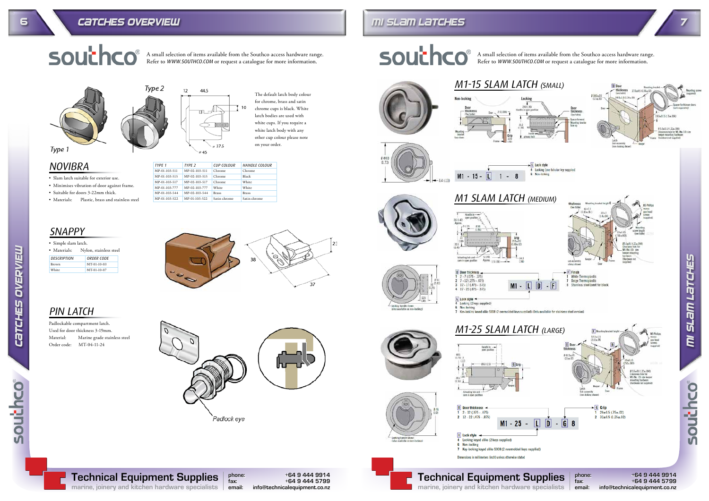phone: +64 9 444 9914

fax: +64 9 444 5799

info@technicalequipment.co.nz



southco®

Technical Equipment Supplies marine, joinery and kitchen hardware specialists







southco

A small selection of items available from the Southco access hardware range. Refer to WWW.SOUTHCO.COM or request a catalogue for more information.







### 6 CATCHES OVERVIEW THE RESERVICE OF THE RESERVED OF THE RESERVED OF THE RESERVED OF THE RESERVED OF THE RESERVED OF T



A small selection of items available from the Southco access hardware range. Refer to WWW.SOUTHCO.COM or request a catalogue for more information.



M1 SLAM LATCHES

• Slam latch suitable for exterior use. • Minimises vibration of door against frame. • Suitable for doors 3-22mm thick.

• Materials: Plastic, brass and stainless steel

# Type 2  $12$ 44.5

Padlockable compartment latch. Used for door thickness 3-19mm. Material: Marine grade stainless steel Order code: MT-04-11-24







Padlock eye





The default latch body colour for chrome, brass and satin chrome cups is black. White latch bodies are used with white cups. If you require a white latch body with any other cup colour please note on your order.

| • Simple slam latch.                   |               |  |
|----------------------------------------|---------------|--|
| Nylon, stainless steel<br>• Materials: |               |  |
| DESCRIPTION                            | ORDER CODE    |  |
| <b>Brown</b>                           | $MT-01-10-03$ |  |
| White                                  | MT-01-10-07   |  |

NOVIBRA

SNAPPY

# PIN LATCH

| TYPE 1        | TYPE <sub>2</sub> | CUP COLOUR   | HANDLE COLOUR |
|---------------|-------------------|--------------|---------------|
| MP-01-103-511 | MP-02-103-511     | Chrome       | Chrome        |
| MP-01-103-515 | MP-02-103-515     | Chrome       | Black         |
| MP-01-103-517 | MP-02-103-517     | Chrome       | <b>White</b>  |
| MP-01-103-777 | MP-02-103-777     | <b>White</b> | <b>White</b>  |
| MP-01-103-544 | MP-02-103-544     | <b>Brass</b> | <b>Brass</b>  |
| MP-01-103-522 | MP-01-103-522     | Satin chrome | Satin chrome  |